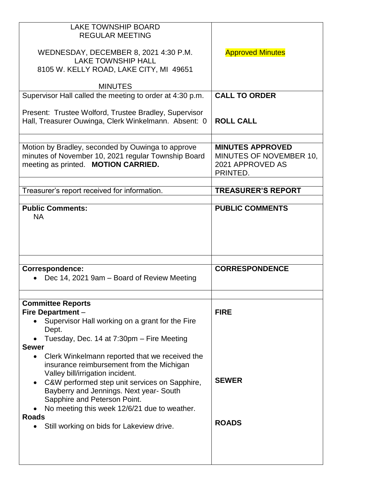| <b>LAKE TOWNSHIP BOARD</b><br><b>REGULAR MEETING</b><br>WEDNESDAY, DECEMBER 8, 2021 4:30 P.M.<br><b>LAKE TOWNSHIP HALL</b><br>8105 W. KELLY ROAD, LAKE CITY, MI 49651                                                                                                                                                                                    | <b>Approved Minutes</b>                                                            |
|----------------------------------------------------------------------------------------------------------------------------------------------------------------------------------------------------------------------------------------------------------------------------------------------------------------------------------------------------------|------------------------------------------------------------------------------------|
| <b>MINUTES</b>                                                                                                                                                                                                                                                                                                                                           | <b>CALL TO ORDER</b>                                                               |
| Supervisor Hall called the meeting to order at 4:30 p.m.                                                                                                                                                                                                                                                                                                 |                                                                                    |
| Present: Trustee Wolford, Trustee Bradley, Supervisor<br>Hall, Treasurer Ouwinga, Clerk Winkelmann. Absent: 0                                                                                                                                                                                                                                            | <b>ROLL CALL</b>                                                                   |
|                                                                                                                                                                                                                                                                                                                                                          |                                                                                    |
| Motion by Bradley, seconded by Ouwinga to approve<br>minutes of November 10, 2021 regular Township Board<br>meeting as printed. MOTION CARRIED.                                                                                                                                                                                                          | <b>MINUTES APPROVED</b><br>MINUTES OF NOVEMBER 10,<br>2021 APPROVED AS<br>PRINTED. |
|                                                                                                                                                                                                                                                                                                                                                          |                                                                                    |
| Treasurer's report received for information.                                                                                                                                                                                                                                                                                                             | <b>TREASURER'S REPORT</b>                                                          |
| <b>Public Comments:</b><br><b>NA</b>                                                                                                                                                                                                                                                                                                                     | <b>PUBLIC COMMENTS</b>                                                             |
|                                                                                                                                                                                                                                                                                                                                                          |                                                                                    |
| <b>Correspondence:</b><br>Dec 14, 2021 9am – Board of Review Meeting                                                                                                                                                                                                                                                                                     | <b>CORRESPONDENCE</b>                                                              |
|                                                                                                                                                                                                                                                                                                                                                          |                                                                                    |
| <b>Committee Reports</b><br><b>Fire Department -</b><br>Supervisor Hall working on a grant for the Fire<br>Dept.<br>Tuesday, Dec. 14 at 7:30pm - Fire Meeting                                                                                                                                                                                            | <b>FIRE</b>                                                                        |
| <b>Sewer</b><br>Clerk Winkelmann reported that we received the<br>$\bullet$<br>insurance reimbursement from the Michigan<br>Valley bill/irrigation incident.<br>C&W performed step unit services on Sapphire,<br>Bayberry and Jennings. Next year- South<br>Sapphire and Peterson Point.<br>No meeting this week 12/6/21 due to weather.<br><b>Roads</b> | <b>SEWER</b>                                                                       |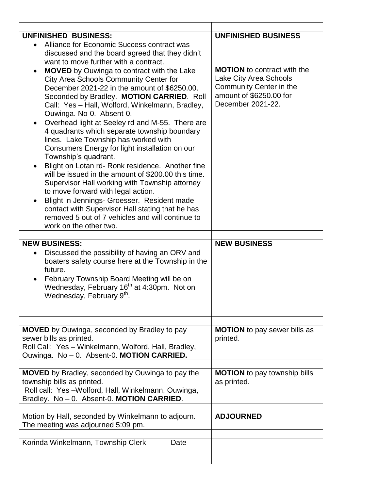| <b>UNFINISHED BUSINESS:</b><br>Alliance for Economic Success contract was<br>discussed and the board agreed that they didn't<br>want to move further with a contract.<br><b>MOVED</b> by Ouwinga to contract with the Lake<br>$\bullet$<br>City Area Schools Community Center for<br>December 2021-22 in the amount of \$6250.00.<br>Seconded by Bradley. MOTION CARRIED. Roll<br>Call: Yes - Hall, Wolford, Winkelmann, Bradley,<br>Ouwinga. No-0. Absent-0.<br>Overhead light at Seeley rd and M-55. There are<br>4 quadrants which separate township boundary<br>lines. Lake Township has worked with<br>Consumers Energy for light installation on our<br>Township's quadrant.<br>Blight on Lotan rd- Ronk residence. Another fine<br>will be issued in the amount of \$200.00 this time.<br>Supervisor Hall working with Township attorney<br>to move forward with legal action.<br>Blight in Jennings- Groesser. Resident made<br>$\bullet$<br>contact with Supervisor Hall stating that he has<br>removed 5 out of 7 vehicles and will continue to<br>work on the other two.<br><b>NEW BUSINESS:</b><br>Discussed the possibility of having an ORV and<br>$\bullet$<br>boaters safety course here at the Township in the<br>future.<br>February Township Board Meeting will be on<br>$\bullet$<br>Wednesday, February 16 <sup>th</sup> at 4:30pm. Not on<br>Wednesday, February 9th. | <b>UNFINISHED BUSINESS</b><br><b>MOTION</b> to contract with the<br>Lake City Area Schools<br>Community Center in the<br>amount of \$6250.00 for<br>December 2021-22.<br><b>NEW BUSINESS</b> |
|---------------------------------------------------------------------------------------------------------------------------------------------------------------------------------------------------------------------------------------------------------------------------------------------------------------------------------------------------------------------------------------------------------------------------------------------------------------------------------------------------------------------------------------------------------------------------------------------------------------------------------------------------------------------------------------------------------------------------------------------------------------------------------------------------------------------------------------------------------------------------------------------------------------------------------------------------------------------------------------------------------------------------------------------------------------------------------------------------------------------------------------------------------------------------------------------------------------------------------------------------------------------------------------------------------------------------------------------------------------------------------------------|----------------------------------------------------------------------------------------------------------------------------------------------------------------------------------------------|
| <b>MOVED</b> by Ouwinga, seconded by Bradley to pay<br>sewer bills as printed.<br>Roll Call: Yes - Winkelmann, Wolford, Hall, Bradley,                                                                                                                                                                                                                                                                                                                                                                                                                                                                                                                                                                                                                                                                                                                                                                                                                                                                                                                                                                                                                                                                                                                                                                                                                                                      | <b>MOTION</b> to pay sewer bills as<br>printed.                                                                                                                                              |
| Ouwinga. No - 0. Absent-0. MOTION CARRIED.                                                                                                                                                                                                                                                                                                                                                                                                                                                                                                                                                                                                                                                                                                                                                                                                                                                                                                                                                                                                                                                                                                                                                                                                                                                                                                                                                  |                                                                                                                                                                                              |
| <b>MOVED</b> by Bradley, seconded by Ouwinga to pay the<br>township bills as printed.<br>Roll call: Yes -Wolford, Hall, Winkelmann, Ouwinga,<br>Bradley. No - 0. Absent-0. MOTION CARRIED.                                                                                                                                                                                                                                                                                                                                                                                                                                                                                                                                                                                                                                                                                                                                                                                                                                                                                                                                                                                                                                                                                                                                                                                                  | <b>MOTION</b> to pay township bills<br>as printed.                                                                                                                                           |
| Motion by Hall, seconded by Winkelmann to adjourn.                                                                                                                                                                                                                                                                                                                                                                                                                                                                                                                                                                                                                                                                                                                                                                                                                                                                                                                                                                                                                                                                                                                                                                                                                                                                                                                                          | <b>ADJOURNED</b>                                                                                                                                                                             |
| The meeting was adjourned 5:09 pm.                                                                                                                                                                                                                                                                                                                                                                                                                                                                                                                                                                                                                                                                                                                                                                                                                                                                                                                                                                                                                                                                                                                                                                                                                                                                                                                                                          |                                                                                                                                                                                              |
|                                                                                                                                                                                                                                                                                                                                                                                                                                                                                                                                                                                                                                                                                                                                                                                                                                                                                                                                                                                                                                                                                                                                                                                                                                                                                                                                                                                             |                                                                                                                                                                                              |
| Korinda Winkelmann, Township Clerk<br>Date                                                                                                                                                                                                                                                                                                                                                                                                                                                                                                                                                                                                                                                                                                                                                                                                                                                                                                                                                                                                                                                                                                                                                                                                                                                                                                                                                  |                                                                                                                                                                                              |